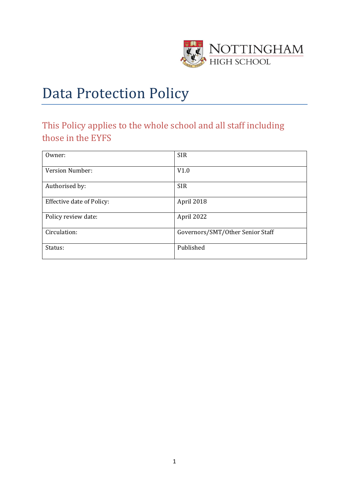

# Data Protection Policy

## This Policy applies to the whole school and all staff including those in the EYFS

| Owner:                    | <b>SIR</b>                       |  |
|---------------------------|----------------------------------|--|
| Version Number:           | V1.0                             |  |
| Authorised by:            | <b>SIR</b>                       |  |
| Effective date of Policy: | April 2018                       |  |
| Policy review date:       | April 2022                       |  |
| Circulation:              | Governors/SMT/Other Senior Staff |  |
| Status:                   | Published                        |  |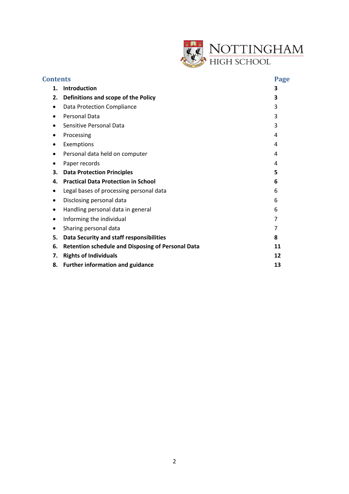

| <b>Contents</b> |                                                          | Page |
|-----------------|----------------------------------------------------------|------|
| 1.              | <b>Introduction</b>                                      | 3    |
| 2.              | Definitions and scope of the Policy                      | 3    |
|                 | Data Protection Compliance                               | 3    |
| $\bullet$       | <b>Personal Data</b>                                     | 3    |
| ٠               | Sensitive Personal Data                                  | 3    |
| ٠               | Processing                                               | 4    |
|                 | Exemptions                                               | 4    |
|                 | Personal data held on computer                           | 4    |
| ٠               | Paper records                                            | 4    |
| 3.              | <b>Data Protection Principles</b>                        | 5    |
| 4.              | <b>Practical Data Protection in School</b>               | 6    |
| ٠               | Legal bases of processing personal data                  | 6    |
| ٠               | Disclosing personal data                                 | 6    |
| ٠               | Handling personal data in general                        | 6    |
| $\bullet$       | Informing the individual                                 | 7    |
|                 | Sharing personal data                                    | 7    |
| 5.              | Data Security and staff responsibilities                 | 8    |
| 6.              | <b>Retention schedule and Disposing of Personal Data</b> | 11   |
| 7.              | <b>Rights of Individuals</b>                             | 12   |
| 8.              | <b>Further information and guidance</b>                  | 13   |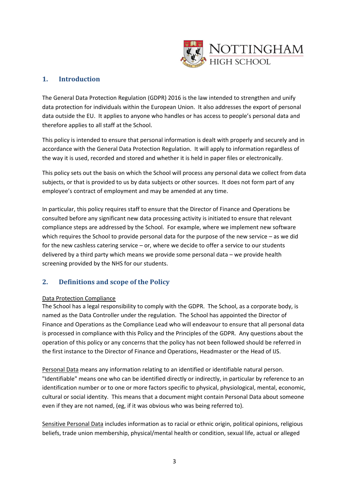

## **1. Introduction**

The General Data Protection Regulation (GDPR) 2016 is the law intended to strengthen and unify data protection for individuals within the European Union. It also addresses the export of personal data outside the EU. It applies to anyone who handles or has access to people's personal data and therefore applies to all staff at the School.

This policy is intended to ensure that personal information is dealt with properly and securely and in accordance with the General Data Protection Regulation. It will apply to information regardless of the way it is used, recorded and stored and whether it is held in paper files or electronically.

This policy sets out the basis on which the School will process any personal data we collect from data subjects, or that is provided to us by data subjects or other sources. It does not form part of any employee's contract of employment and may be amended at any time.

In particular, this policy requires staff to ensure that the Director of Finance and Operations be consulted before any significant new data processing activity is initiated to ensure that relevant compliance steps are addressed by the School. For example, where we implement new software which requires the School to provide personal data for the purpose of the new service – as we did for the new cashless catering service – or, where we decide to offer a service to our students delivered by a third party which means we provide some personal data – we provide health screening provided by the NHS for our students.

## **2. Definitions and scope of the Policy**

#### Data Protection Compliance

The School has a legal responsibility to comply with the GDPR. The School, as a corporate body, is named as the Data Controller under the regulation. The School has appointed the Director of Finance and Operations as the Compliance Lead who will endeavour to ensure that all personal data is processed in compliance with this Policy and the Principles of the GDPR. Any questions about the operation of this policy or any concerns that the policy has not been followed should be referred in the first instance to the Director of Finance and Operations, Headmaster or the Head of IJS.

Personal Data means any information relating to an identified or identifiable natural person. "Identifiable" means one who can be identified directly or indirectly, in particular by reference to an identification number or to one or more factors specific to physical, physiological, mental, economic, cultural or social identity. This means that a document might contain Personal Data about someone even if they are not named, (eg, if it was obvious who was being referred to).

Sensitive Personal Data includes information as to racial or ethnic origin, political opinions, religious beliefs, trade union membership, physical/mental health or condition, sexual life, actual or alleged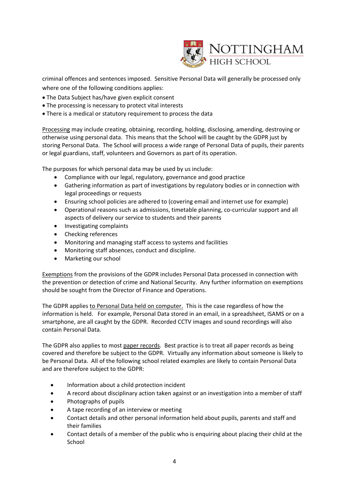

criminal offences and sentences imposed. Sensitive Personal Data will generally be processed only where one of the following conditions applies:

- The Data Subject has/have given explicit consent
- The processing is necessary to protect vital interests
- There is a medical or statutory requirement to process the data

Processing may include creating, obtaining, recording, holding, disclosing, amending, destroying or otherwise using personal data. This means that the School will be caught by the GDPR just by storing Personal Data. The School will process a wide range of Personal Data of pupils, their parents or legal guardians, staff, volunteers and Governors as part of its operation.

The purposes for which personal data may be used by us include:

- Compliance with our legal, regulatory, governance and good practice
- Gathering information as part of investigations by regulatory bodies or in connection with legal proceedings or requests
- Ensuring school policies are adhered to (covering email and internet use for example)
- Operational reasons such as admissions, timetable planning, co-curricular support and all aspects of delivery our service to students and their parents
- Investigating complaints
- Checking references
- Monitoring and managing staff access to systems and facilities
- Monitoring staff absences, conduct and discipline.
- Marketing our school

Exemptions from the provisions of the GDPR includes Personal Data processed in connection with the prevention or detection of crime and National Security. Any further information on exemptions should be sought from the Director of Finance and Operations.

The GDPR applies to Personal Data held on computer. This is the case regardless of how the information is held. For example, Personal Data stored in an email, in a spreadsheet, ISAMS or on a smartphone, are all caught by the GDPR. Recorded CCTV images and sound recordings will also contain Personal Data.

The GDPR also applies to most paper records. Best practice is to treat all paper records as being covered and therefore be subject to the GDPR. Virtually any information about someone is likely to be Personal Data. All of the following school related examples are likely to contain Personal Data and are therefore subject to the GDPR:

- Information about a child protection incident
- A record about disciplinary action taken against or an investigation into a member of staff
- Photographs of pupils
- A tape recording of an interview or meeting
- Contact details and other personal information held about pupils, parents and staff and their families
- Contact details of a member of the public who is enquiring about placing their child at the School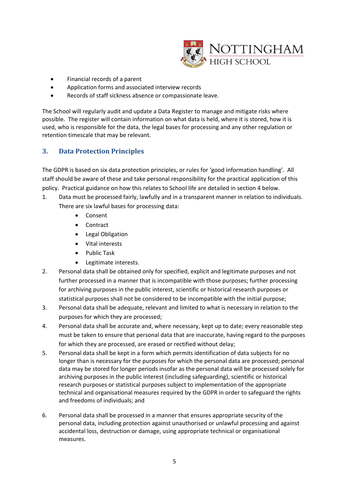

- Financial records of a parent
- Application forms and associated interview records
- Records of staff sickness absence or compassionate leave.

The School will regularly audit and update a Data Register to manage and mitigate risks where possible. The register will contain information on what data is held, where it is stored, how it is used, who is responsible for the data, the legal bases for processing and any other regulation or retention timescale that may be relevant.

## **3. Data Protection Principles**

The GDPR is based on six data protection principles, or rules for 'good information handling'. All staff should be aware of these and take personal responsibility for the practical application of this policy. Practical guidance on how this relates to School life are detailed in section 4 below.

- 1. Data must be processed fairly, lawfully and in a transparent manner in relation to individuals. There are six lawful bases for processing data:
	- Consent
	- Contract
	- Legal Obligation
	- Vital interests
	- Public Task
	- Legitimate interests.
- 2. Personal data shall be obtained only for specified, explicit and legitimate purposes and not further processed in a manner that is incompatible with those purposes; further processing for archiving purposes in the public interest, scientific or historical research purposes or statistical purposes shall not be considered to be incompatible with the initial purpose;
- 3. Personal data shall be adequate, relevant and limited to what is necessary in relation to the purposes for which they are processed;
- 4. Personal data shall be accurate and, where necessary, kept up to date; every reasonable step must be taken to ensure that personal data that are inaccurate, having regard to the purposes for which they are processed, are erased or rectified without delay;
- 5. Personal data shall be kept in a form which permits identification of data subjects for no longer than is necessary for the purposes for which the personal data are processed; personal data may be stored for longer periods insofar as the personal data will be processed solely for archiving purposes in the public interest (including safeguarding), scientific or historical research purposes or statistical purposes subject to implementation of the appropriate technical and organisational measures required by the GDPR in order to safeguard the rights and freedoms of individuals; and
- 6. Personal data shall be processed in a manner that ensures appropriate security of the personal data, including protection against unauthorised or unlawful processing and against accidental loss, destruction or damage, using appropriate technical or organisational measures.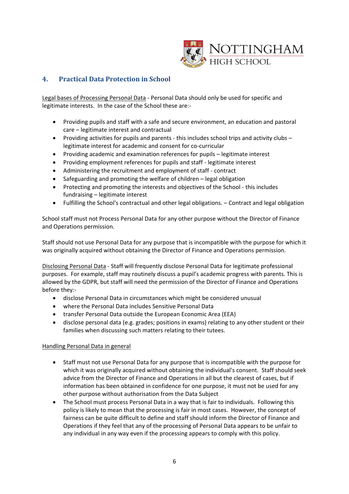

## **4. Practical Data Protection in School**

Legal bases of Processing Personal Data - Personal Data should only be used for specific and legitimate interests. In the case of the School these are:-

- Providing pupils and staff with a safe and secure environment, an education and pastoral care – legitimate interest and contractual
- Providing activities for pupils and parents this includes school trips and activity clubs legitimate interest for academic and consent for co-curricular
- Providing academic and examination references for pupils legitimate interest
- Providing employment references for pupils and staff legitimate interest
- Administering the recruitment and employment of staff contract
- Safeguarding and promoting the welfare of children legal obligation
- Protecting and promoting the interests and objectives of the School this includes fundraising – legitimate interest
- Fulfilling the School's contractual and other legal obligations. Contract and legal obligation

School staff must not Process Personal Data for any other purpose without the Director of Finance and Operations permission.

Staff should not use Personal Data for any purpose that is incompatible with the purpose for which it was originally acquired without obtaining the Director of Finance and Operations permission.

Disclosing Personal Data - Staff will frequently disclose Personal Data for legitimate professional purposes. For example, staff may routinely discuss a pupil's academic progress with parents. This is allowed by the GDPR, but staff will need the permission of the Director of Finance and Operations before they:-

- disclose Personal Data in circumstances which might be considered unusual
- where the Personal Data includes Sensitive Personal Data
- transfer Personal Data outside the European Economic Area (EEA)
- disclose personal data (e.g. grades; positions in exams) relating to any other student or their families when discussing such matters relating to their tutees.

#### Handling Personal Data in general

- Staff must not use Personal Data for any purpose that is incompatible with the purpose for which it was originally acquired without obtaining the individual's consent. Staff should seek advice from the Director of Finance and Operations in all but the clearest of cases, but if information has been obtained in confidence for one purpose, it must not be used for any other purpose without authorisation from the Data Subject
- The School must process Personal Data in a way that is fair to individuals. Following this policy is likely to mean that the processing is fair in most cases. However, the concept of fairness can be quite difficult to define and staff should inform the Director of Finance and Operations if they feel that any of the processing of Personal Data appears to be unfair to any individual in any way even if the processing appears to comply with this policy.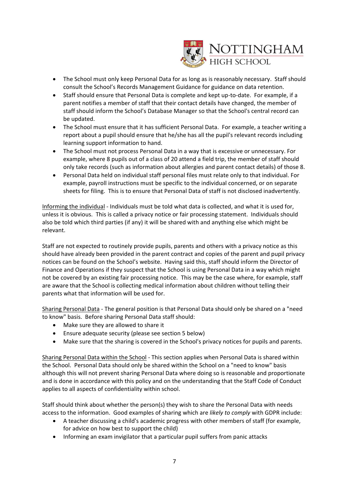

- The School must only keep Personal Data for as long as is reasonably necessary. Staff should consult the School's Records Management Guidance for guidance on data retention.
- Staff should ensure that Personal Data is complete and kept up-to-date. For example, if a parent notifies a member of staff that their contact details have changed, the member of staff should inform the School's Database Manager so that the School's central record can be updated.
- The School must ensure that it has sufficient Personal Data. For example, a teacher writing a report about a pupil should ensure that he/she has all the pupil's relevant records including learning support information to hand.
- The School must not process Personal Data in a way that is excessive or unnecessary. For example, where 8 pupils out of a class of 20 attend a field trip, the member of staff should only take records (such as information about allergies and parent contact details) of those 8.
- Personal Data held on individual staff personal files must relate only to that individual. For example, payroll instructions must be specific to the individual concerned, or on separate sheets for filing. This is to ensure that Personal Data of staff is not disclosed inadvertently.

Informing the individual - Individuals must be told what data is collected, and what it is used for, unless it is obvious. This is called a privacy notice or fair processing statement. Individuals should also be told which third parties (if any) it will be shared with and anything else which might be relevant.

Staff are not expected to routinely provide pupils, parents and others with a privacy notice as this should have already been provided in the parent contract and copies of the parent and pupil privacy notices can be found on the School's website. Having said this, staff should inform the Director of Finance and Operations if they suspect that the School is using Personal Data in a way which might not be covered by an existing fair processing notice. This may be the case where, for example, staff are aware that the School is collecting medical information about children without telling their parents what that information will be used for.

Sharing Personal Data - The general position is that Personal Data should only be shared on a "need to know" basis. Before sharing Personal Data staff should:

- Make sure they are allowed to share it
- Ensure adequate security (please see section 5 below)
- Make sure that the sharing is covered in the School's privacy notices for pupils and parents.

Sharing Personal Data within the School - This section applies when Personal Data is shared within the School. Personal Data should only be shared within the School on a "need to know" basis although this will not prevent sharing Personal Data where doing so is reasonable and proportionate and is done in accordance with this policy and on the understanding that the Staff Code of Conduct applies to all aspects of confidentiality within school.

Staff should think about whether the person(s) they wish to share the Personal Data with needs access to the information. Good examples of sharing which are *likely to comply* with GDPR include:

- A teacher discussing a child's academic progress with other members of staff (for example, for advice on how best to support the child)
- Informing an exam invigilator that a particular pupil suffers from panic attacks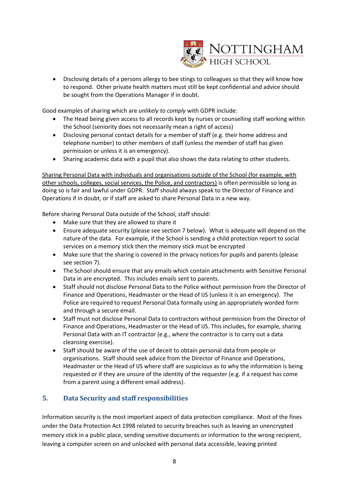

• Disclosing details of a persons allergy to bee stings to colleagues so that they will know how to respond. Other private health matters must still be kept confidential and advice should be sought from the Operations Manager if in doubt.

Good examples of sharing which are *unlikely to comply* with GDPR include:

- The Head being given access to all records kept by nurses or counselling staff working within the School (seniority does not necessarily mean a right of access)
- Disclosing personal contact details for a member of staff (e.g. their home address and telephone number) to other members of staff (unless the member of staff has given permission or unless it is an emergency).
- Sharing academic data with a pupil that also shows the data relating to other students.

Sharing Personal Data with individuals and organisations outside of the School (for example, with other schools, colleges, social services, the Police, and contractors) is often permissible so long as doing so is fair and lawful under GDPR. Staff should always speak to the Director of Finance and Operations if in doubt, or if staff are asked to share Personal Data in a new way.

Before sharing Personal Data outside of the School, staff should:

- Make sure that they are allowed to share it
- Ensure adequate security (please see section 7 below). What is adequate will depend on the nature of the data. For example, if the School is sending a child protection report to social services on a memory stick then the memory stick must be encrypted
- Make sure that the sharing is covered in the privacy notices for pupils and parents (please see section 7).
- The School should ensure that any emails which contain attachments with Sensitive Personal Data in are encrypted. This includes emails sent to parents.
- Staff should not disclose Personal Data to the Police without permission from the Director of Finance and Operations, Headmaster or the Head of IJS (unless it is an emergency). The Police are required to request Personal Data formally using an appropriately worded form and through a secure email.
- Staff must not disclose Personal Data to contractors without permission from the Director of Finance and Operations, Headmaster or the Head of IJS. This includes, for example, sharing Personal Data with an IT contractor (e.g., where the contractor is to carry out a data cleansing exercise).
- Staff should be aware of the use of deceit to obtain personal data from people or organisations. Staff should seek advice from the Director of Finance and Operations, Headmaster or the Head of IJS where staff are suspicious as to why the information is being requested or if they are unsure of the identity of the requester (e.g. if a request has come from a parent using a different email address).

## **5. Data Security and staff responsibilities**

Information security is the most important aspect of data protection compliance. Most of the fines under the Data Protection Act 1998 related to security breaches such as leaving an unencrypted memory stick in a public place, sending sensitive documents or information to the wrong recipient, leaving a computer screen on and unlocked with personal data accessible, leaving printed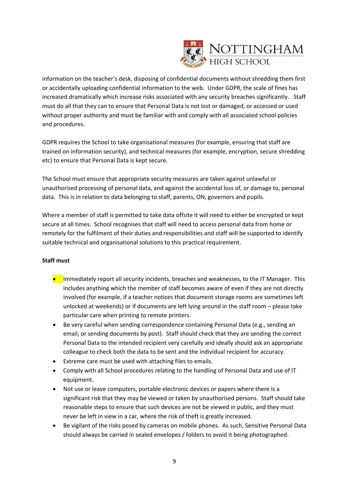

information on the teacher's desk, disposing of confidential documents without shredding them first or accidentally uploading confidential information to the web. Under GDPR, the scale of fines has increased dramatically which increase risks associated with any security breaches significantly. Staff must do all that they can to ensure that Personal Data is not lost or damaged, or accessed or used without proper authority and must be familiar with and comply with all associated school policies and procedures.

GDPR requires the School to take organisational measures (for example, ensuring that staff are trained on information security), and technical measures (for example, encryption, secure shredding etc) to ensure that Personal Data is kept secure.

The School must ensure that appropriate security measures are taken against unlawful or unauthorised processing of personal data, and against the accidental loss of, or damage to, personal data. This is in relation to data belonging to staff, parents, ON, governors and pupils.

Where a member of staff is permitted to take data offsite it will need to either be encrypted or kept secure at all times. School recognises that staff will need to access personal data from home or remotely for the fulfilment of their duties and responsibilities and staff will be supported to identify suitable technical and organisational solutions to this practical requirement.

#### **Staff must**

- **•** Immediately report all security incidents, breaches and weaknesses, to the IT Manager. This includes anything which the member of staff becomes aware of even if they are not directly involved (for example, if a teacher notices that document storage rooms are sometimes left unlocked at weekends) or if documents are left lying around in the staff room – please take particular care when printing to remote printers.
- Be very careful when sending correspondence containing Personal Data (e.g., sending an email, or sending documents by post). Staff should check that they are sending the correct Personal Data to the intended recipient very carefully and ideally should ask an appropriate colleague to check both the data to be sent and the individual recipient for accuracy.
- Extreme care must be used with attaching files to emails.
- Comply with all School procedures relating to the handling of Personal Data and use of IT equipment.
- Not use or leave computers, portable electronic devices or papers where there is a significant risk that they may be viewed or taken by unauthorised persons. Staff should take reasonable steps to ensure that such devices are not be viewed in public, and they must never be left in view in a car, where the risk of theft is greatly increased.
- Be vigilant of the risks posed by cameras on mobile phones. As such, Sensitive Personal Data should always be carried in sealed envelopes / folders to avoid it being photographed.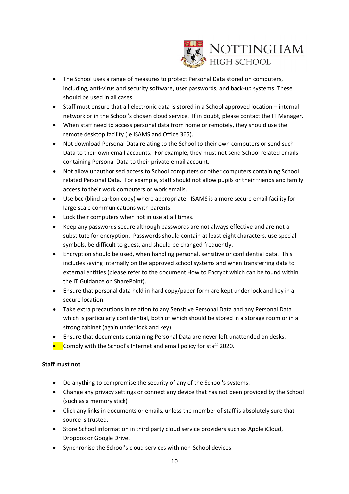

- The School uses a range of measures to protect Personal Data stored on computers, including, anti-virus and security software, user passwords, and back-up systems. These should be used in all cases.
- Staff must ensure that all electronic data is stored in a School approved location internal network or in the School's chosen cloud service. If in doubt, please contact the IT Manager.
- When staff need to access personal data from home or remotely, they should use the remote desktop facility (ie ISAMS and Office 365).
- Not download Personal Data relating to the School to their own computers or send such Data to their own email accounts. For example, they must not send School related emails containing Personal Data to their private email account.
- Not allow unauthorised access to School computers or other computers containing School related Personal Data. For example, staff should not allow pupils or their friends and family access to their work computers or work emails.
- Use bcc (blind carbon copy) where appropriate. ISAMS is a more secure email facility for large scale communications with parents.
- Lock their computers when not in use at all times.
- Keep any passwords secure although passwords are not always effective and are not a substitute for encryption. Passwords should contain at least eight characters, use special symbols, be difficult to guess, and should be changed frequently.
- Encryption should be used, when handling personal, sensitive or confidential data. This includes saving internally on the approved school systems and when transferring data to external entities (please refer to the document How to Encrypt which can be found within the IT Guidance on SharePoint).
- Ensure that personal data held in hard copy/paper form are kept under lock and key in a secure location.
- Take extra precautions in relation to any Sensitive Personal Data and any Personal Data which is particularly confidential, both of which should be stored in a storage room or in a strong cabinet (again under lock and key).
- Ensure that documents containing Personal Data are never left unattended on desks.
- Comply with the School's Internet and email policy for staff 2020.

#### **Staff must not**

- Do anything to compromise the security of any of the School's systems.
- Change any privacy settings or connect any device that has not been provided by the School (such as a memory stick)
- Click any links in documents or emails, unless the member of staff is absolutely sure that source is trusted.
- Store School information in third party cloud service providers such as Apple iCloud, Dropbox or Google Drive.
- Synchronise the School's cloud services with non-School devices.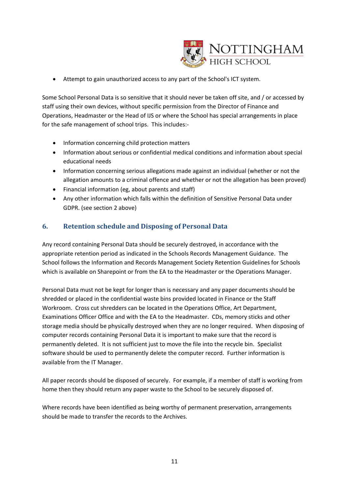

• Attempt to gain unauthorized access to any part of the School's ICT system.

Some School Personal Data is so sensitive that it should never be taken off site, and / or accessed by staff using their own devices, without specific permission from the Director of Finance and Operations, Headmaster or the Head of IJS or where the School has special arrangements in place for the safe management of school trips. This includes:-

- Information concerning child protection matters
- Information about serious or confidential medical conditions and information about special educational needs
- Information concerning serious allegations made against an individual (whether or not the allegation amounts to a criminal offence and whether or not the allegation has been proved)
- Financial information (eg, about parents and staff)
- Any other information which falls within the definition of Sensitive Personal Data under GDPR. (see section 2 above)

## **6. Retention schedule and Disposing of Personal Data**

Any record containing Personal Data should be securely destroyed, in accordance with the appropriate retention period as indicated in the Schools Records Management Guidance. The School follows the Information and Records Management Society Retention Guidelines for Schools which is available on Sharepoint or from the EA to the Headmaster or the Operations Manager.

Personal Data must not be kept for longer than is necessary and any paper documents should be shredded or placed in the confidential waste bins provided located in Finance or the Staff Workroom. Cross cut shredders can be located in the Operations Office, Art Department, Examinations Officer Office and with the EA to the Headmaster. CDs, memory sticks and other storage media should be physically destroyed when they are no longer required. When disposing of computer records containing Personal Data it is important to make sure that the record is permanently deleted. It is not sufficient just to move the file into the recycle bin. Specialist software should be used to permanently delete the computer record. Further information is available from the IT Manager.

All paper records should be disposed of securely. For example, if a member of staff is working from home then they should return any paper waste to the School to be securely disposed of.

Where records have been identified as being worthy of permanent preservation, arrangements should be made to transfer the records to the Archives.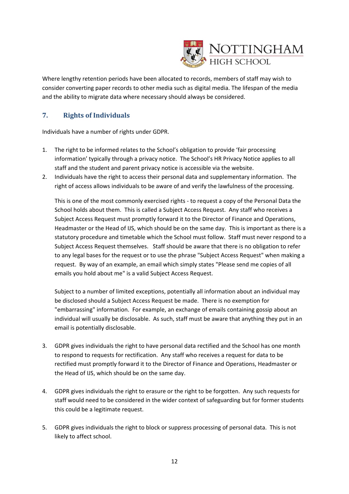

Where lengthy retention periods have been allocated to records, members of staff may wish to consider converting paper records to other media such as digital media. The lifespan of the media and the ability to migrate data where necessary should always be considered.

## **7. Rights of Individuals**

Individuals have a number of rights under GDPR.

- 1. The right to be informed relates to the School's obligation to provide 'fair processing information' typically through a privacy notice. The School's HR Privacy Notice applies to all staff and the student and parent privacy notice is accessible via the website.
- 2. Individuals have the right to access their personal data and supplementary information. The right of access allows individuals to be aware of and verify the lawfulness of the processing.

This is one of the most commonly exercised rights - to request a copy of the Personal Data the School holds about them. This is called a Subject Access Request. Any staff who receives a Subject Access Request must promptly forward it to the Director of Finance and Operations, Headmaster or the Head of IJS, which should be on the same day. This is important as there is a statutory procedure and timetable which the School must follow. Staff must never respond to a Subject Access Request themselves. Staff should be aware that there is no obligation to refer to any legal bases for the request or to use the phrase "Subject Access Request" when making a request. By way of an example, an email which simply states "Please send me copies of all emails you hold about me" is a valid Subject Access Request.

Subject to a number of limited exceptions, potentially all information about an individual may be disclosed should a Subject Access Request be made. There is no exemption for "embarrassing" information. For example, an exchange of emails containing gossip about an individual will usually be disclosable. As such, staff must be aware that anything they put in an email is potentially disclosable.

- 3. GDPR gives individuals the right to have personal data rectified and the School has one month to respond to requests for rectification. Any staff who receives a request for data to be rectified must promptly forward it to the Director of Finance and Operations, Headmaster or the Head of IJS, which should be on the same day.
- 4. GDPR gives individuals the right to erasure or the right to be forgotten. Any such requests for staff would need to be considered in the wider context of safeguarding but for former students this could be a legitimate request.
- 5. GDPR gives individuals the right to block or suppress processing of personal data. This is not likely to affect school.